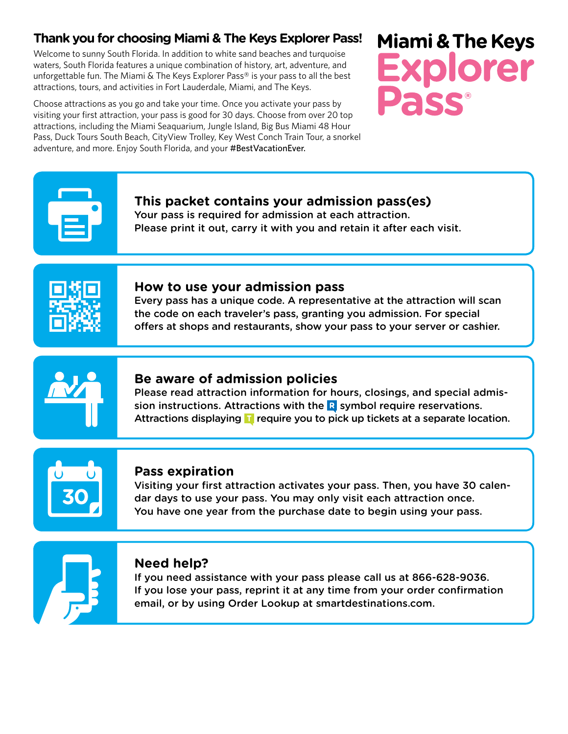# **Thank you for choosing Miami & The Keys Explorer Pass!**

Welcome to sunny South Florida. In addition to white sand beaches and turquoise waters, South Florida features a unique combination of history, art, adventure, and unforgettable fun. The Miami & The Keys Explorer Pass® is your pass to all the best attractions, tours, and activities in Fort Lauderdale, Miami, and The Keys.

Choose attractions as you go and take your time. Once you activate your pass by visiting your first attraction, your pass is good for 30 days. Choose from over 20 top attractions, including the Miami Seaquarium, Jungle Island, Big Bus Miami 48 Hour Pass, Duck Tours South Beach, CityView Trolley, Key West Conch Train Tour, a snorkel adventure, and more. Enjoy South Florida, and your #BestVacationEver.

# **Miami & The Keys Explorer**

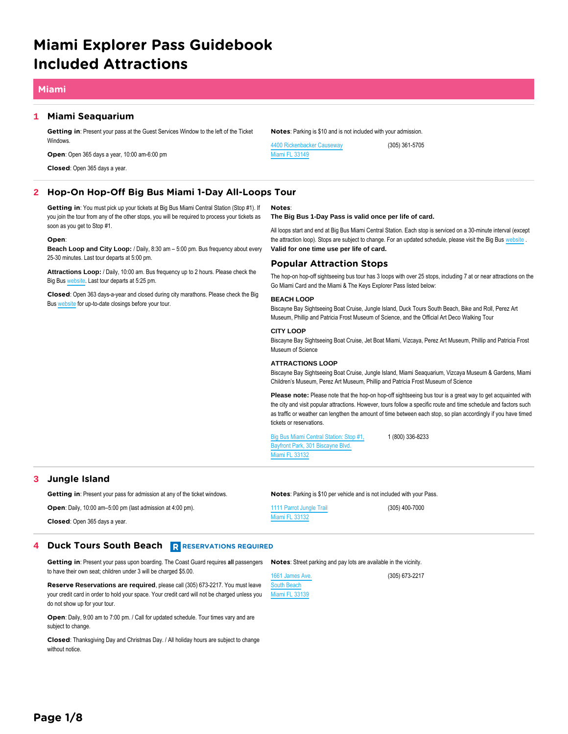# **Miami Explorer Pass Guidebook Included Attractions**

# **Miami**

# **1 Miami Seaquarium**

**Getting in**: Present your pass at the Guest Services Window to the left of the Ticket **Windows** 

**Open**: Open 365 days a year, 10:00 am-6:00 pm

**Closed**: Open 365 days a year.

# **2 Hop-On Hop-Off Big Bus Miami 1-Day All-Loops Tour**

**Getting in**: You must pick up your tickets at Big Bus Miami Central Station (Stop #1). If you join the tour from any of the other stops, you will be required to process your tickets as soon as you get to Stop #1.

# **Open**:

**Beach Loop and City Loop:** / Daily, 8:30 am – 5:00 pm. Bus frequency about every 25-30 minutes. Last tour departs at 5:00 pm.

**Attractions Loop:** / Daily, 10:00 am. Bus frequency up to 2 hours. Please check the Big Bus [website.](https://www.bigbustours.com/miami) Last tour departs at 5:25 pm.

**Closed**: Open 363 days-a-year and closed during city marathons. Please check the Big Bus [website](https://www.bigbustours.com/en/miami/service-information/) for up-to-date closings before your tour.

# **Notes**: Parking is \$10 and is not included with your admission.

[4400 Rickenbacker Causeway](https://maps.google.com/maps?q=loc:25.736374,-80.165405&z=16) [Miami FL 33149](https://maps.google.com/maps?q=loc:25.736374,-80.165405&z=16)

(305) 361-5705

### **Notes**: **The Big Bus 1-Day Pass is valid once per life of card.**

All loops start and end at Big Bus Miami Central Station. Each stop is serviced on a 30-minute interval (except the attraction loop). Stops are subject to change. For an updated schedule, please visit the Big Bus [website](https://www.bigbustours.com/miami). **Valid for one time use per life of card.**

# **Popular Attraction Stops**

The hop-on hop-off sightseeing bus tour has 3 loops with over 25 stops, including 7 at or near attractions on the Go Miami Card and the Miami & The Keys Explorer Pass listed below:

# **BEACH LOOP**

Biscayne Bay Sightseeing Boat Cruise, Jungle Island, Duck Tours South Beach, Bike and Roll, Perez Art Museum, Phillip and Patricia Frost Museum of Science, and the Official Art Deco Walking Tour

# **CITY LOOP**

Biscayne Bay Sightseeing Boat Cruise, Jet Boat Miami, Vizcaya, Perez Art Museum, Phillip and Patricia Frost Museum of Science

# **ATTRACTIONS LOOP**

Biscayne Bay Sightseeing Boat Cruise, Jungle Island, Miami Seaquarium, Vizcaya Museum & Gardens, Miami Children's Museum, Perez Art Museum, Phillip and Patricia Frost Museum of Science

Please note: Please note that the hop-on hop-off sightseeing bus tour is a great way to get acquainted with the city and visit popular attractions. However, tours follow a specific route and time schedule and factors such as traffic or weather can lengthen the amount of time between each stop, so plan accordingly if you have timed tickets or reservations.

[Big Bus Miami Central Station: Stop #1,](https://maps.google.com/maps?q=loc:25.77743,-80.18788&z=16) [Bayfront Park, 301 Biscayne Blvd.](https://maps.google.com/maps?q=loc:25.77743,-80.18788&z=16) [Miami FL 33132](https://maps.google.com/maps?q=loc:25.77743,-80.18788&z=16)

1 (800) 336-8233

(305) 673-2217

# **3 Jungle Island**

**Getting in**: Present your pass for admission at any of the ticket windows.

# **Notes**: Parking is \$10 per vehicle and is not included with your Pass.

| <b>Open:</b> Daily, 10:00 am-5:00 pm (last admission at 4:00 pm). | 1111 Parrot Jungle Trail | (305) 400-7000 |
|-------------------------------------------------------------------|--------------------------|----------------|
| <b>Closed:</b> Open 365 days a year.                              | Miami FL 33132           |                |

# **4 Duck Tours South Beach R RESERVATIONS REQUIRED**

Getting in: Present your pass upon boarding. The Coast Guard requires all passengers Notes: Street parking and pay lots are available in the vicinity. to have their own seat; children under 3 will be charged \$5.00.

**Reserve Reservations are required**, please call (305) 673-2217. You must leave your credit card in order to hold your space. Your credit card will not be charged unless you do not show up for your tour.

**Open**: Daily, 9:00 am to 7:00 pm. / Call for updated schedule. Tour times vary and are subject to change.

**Closed**: Thanksgiving Day and Christmas Day. / All holiday hours are subject to change without notice.

[1661 James Ave.](https://maps.google.com/maps?q=loc:25.791153,-80.13069&z=16) [South Beach](https://maps.google.com/maps?q=loc:25.791153,-80.13069&z=16) [Miami FL 33139](https://maps.google.com/maps?q=loc:25.791153,-80.13069&z=16)

**Page 1/8**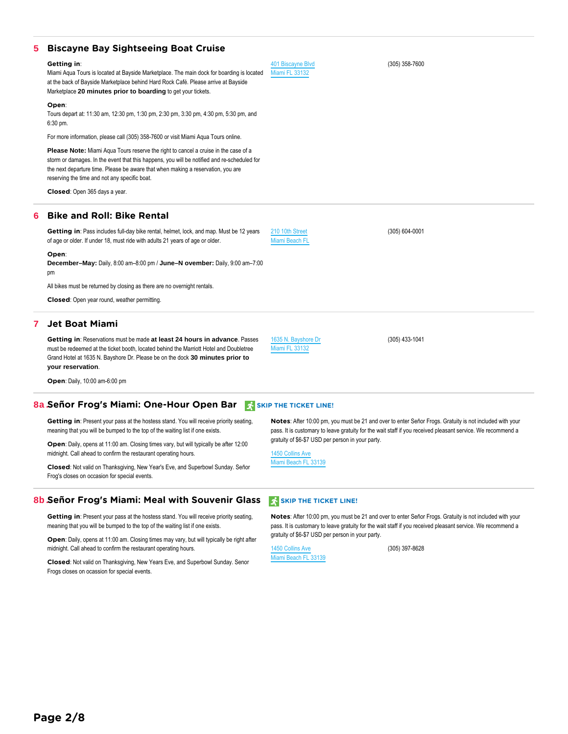| 5 Biscayne Bay Sightseeing Boat Cruise                                                                                                                                                                                                                                                                                         |                                            |                  |
|--------------------------------------------------------------------------------------------------------------------------------------------------------------------------------------------------------------------------------------------------------------------------------------------------------------------------------|--------------------------------------------|------------------|
| Getting in:<br>Miami Agua Tours is located at Bayside Marketplace. The main dock for boarding is located<br>at the back of Bayside Marketplace behind Hard Rock Café. Please arrive at Bayside<br>Marketplace 20 minutes prior to boarding to get your tickets.                                                                | 401 Biscayne Blvd<br><b>Miami FL 33132</b> | $(305)$ 358-7600 |
| Open:<br>Tours depart at: 11:30 am, 12:30 pm, 1:30 pm, 2:30 pm, 3:30 pm, 4:30 pm, 5:30 pm, and<br>$6:30$ pm.                                                                                                                                                                                                                   |                                            |                  |
| For more information, please call (305) 358-7600 or visit Miami Agua Tours online.                                                                                                                                                                                                                                             |                                            |                  |
| <b>Please Note:</b> Miami Aqua Tours reserve the right to cancel a cruise in the case of a<br>storm or damages. In the event that this happens, you will be notified and re-scheduled for<br>the next departure time. Please be aware that when making a reservation, you are<br>reserving the time and not any specific boat. |                                            |                  |
| Closed: Open 365 days a year.                                                                                                                                                                                                                                                                                                  |                                            |                  |
| 6 Bike and Roll: Bike Rental                                                                                                                                                                                                                                                                                                   |                                            |                  |

[210 10th Street](https://maps.google.com/maps?q=loc:25.780556,-80.13203&z=16) [Miami Beach FL](https://maps.google.com/maps?q=loc:25.780556,-80.13203&z=16)

**Getting in**: Pass includes full-day bike rental, helmet, lock, and map. Must be 12 years of age or older. If under 18, must ride with adults 21 years of age or older.

**Open**:

**December–May:** Daily, 8:00 am–8:00 pm / **June–N ovember:** Daily, 9:00 am–7:00 pm

All bikes must be returned by closing as there are no overnight rentals.

**Closed**: Open year round, weather permitting.

# **7 Jet Boat Miami**

**Getting in**: Reservations must be made **at least 24 hours in advance**. Passes must be redeemed at the ticket booth, located behind the Marriott Hotel and Doubletree Grand Hotel at 1635 N. Bayshore Dr. Please be on the dock **30 minutes prior to your reservation**.

**Open**: Daily, 10:00 am-6:00 pm

# **8a. Señor Frog's Miami: One-Hour Open Bar** SKIP THE TICKET LINE!

**Getting in**: Present your pass at the hostess stand. You will receive priority seating, meaning that you will be bumped to the top of the waiting list if one exists.

**Open**: Daily, opens at 11:00 am. Closing times vary, but will typically be after 12:00 midnight. Call ahead to confirm the restaurant operating hours.

**Closed**: Not valid on Thanksgiving, New Year's Eve, and Superbowl Sunday. Señor Frog's closes on occasion for special events.

# **8b. Señor Frog's Miami: Meal with Souvenir Glass SERIP THE TICKET LINE!**

**Getting in**: Present your pass at the hostess stand. You will receive priority seating, meaning that you will be bumped to the top of the waiting list if one exists.

**Open**: Daily, opens at 11:00 am. Closing times may vary, but will typically be right after midnight. Call ahead to confirm the restaurant operating hours.

**Closed**: Not valid on Thanksgiving, New Years Eve, and Superbowl Sunday. Senor Frogs closes on ocassion for special events.

**Notes**: After 10:00 pm, you must be 21 and over to enter Señor Frogs. Gratuity is not included with your pass. It is customary to leave gratuity for the wait staff if you received pleasant service. We recommend a gratuity of \$6-\$7 USD per person in your party.

(305) 604-0001

(305) 433-1041

[1450 Collins Ave](https://maps.google.com/maps?q=loc:25.787117,-80.13086&z=16) [Miami Beach FL 33139](https://maps.google.com/maps?q=loc:25.787117,-80.13086&z=16)

[1635 N. Bayshore Dr](https://maps.google.com/maps?q=loc:25.79113,-80.18544&z=16) [Miami FL 33132](https://maps.google.com/maps?q=loc:25.79113,-80.18544&z=16)

**Notes**: After 10:00 pm, you must be 21 and over to enter Señor Frogs. Gratuity is not included with your pass. It is customary to leave gratuity for the wait staff if you received pleasant service. We recommend a gratuity of \$6-\$7 USD per person in your party.

[1450 Collins Ave](https://maps.google.com/maps?q=loc:25.787117,-80.13086&z=16) [Miami Beach FL 33139](https://maps.google.com/maps?q=loc:25.787117,-80.13086&z=16)

(305) 397-8628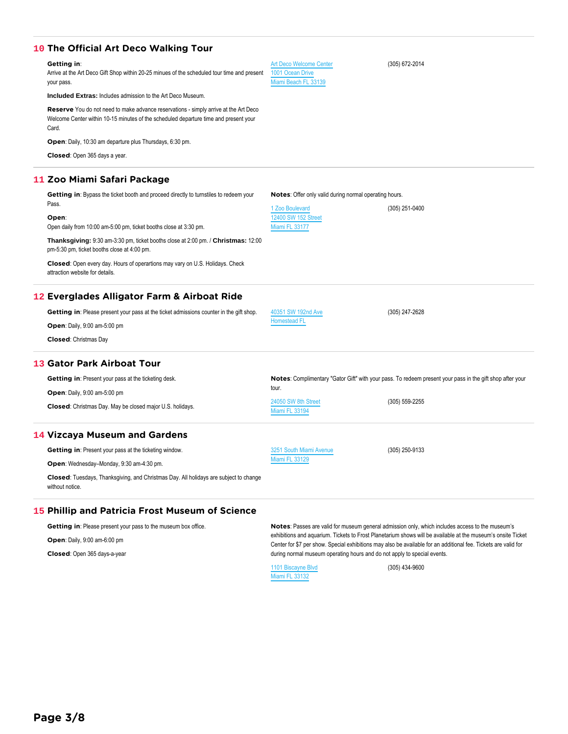# Arrive at the Art Deco Gift Shop within 20-25 minues of the scheduled tour time and present your pass. **Included Extras:** Includes admission to the Art Deco Museum. **Reserve** You do not need to make advance reservations - simply arrive at the Art Deco Welcome Center within 10-15 minutes of the scheduled departure time and present your Card. **Open**: Daily, 10:30 am departure plus Thursdays, 6:30 pm. **Closed**: Open 365 days a year. [1001 Ocean Drive](https://maps.google.com/maps?q=loc:25.780378,-80.130455&z=16) [Miami Beach FL 33139](https://maps.google.com/maps?q=loc:25.780378,-80.130455&z=16) **11 Zoo Miami Safari Package Getting in**: Bypass the ticket booth and proceed directly to turnstiles to redeem your Pass. **Open**: Open daily from 10:00 am-5:00 pm, ticket booths close at 3:30 pm. **Thanksgiving:** 9:30 am-3:30 pm, ticket booths close at 2:00 pm. / **Christmas:** 12:00 pm-5:30 pm, ticket booths close at 4:00 pm. **Closed**: Open every day. Hours of operartions may vary on U.S. Holidays. Check attraction website for details. **Notes**: Offer only valid during normal operating hours. [1 Zoo Boulevard](https://maps.google.com/maps?q=loc:25.595058,-80.39926&z=16) [12400 SW 152 Street](https://maps.google.com/maps?q=loc:25.595058,-80.39926&z=16) [Miami FL 33177](https://maps.google.com/maps?q=loc:25.595058,-80.39926&z=16) (305) 251-0400 **12 Everglades Alligator Farm & Airboat Ride Getting in**: Please present your pass at the ticket admissions counter in the gift shop. **Open**: Daily, 9:00 am-5:00 pm **Closed**: Christmas Day [40351 SW 192nd Ave](https://maps.google.com/maps?q=loc:25.393278,-80.50068&z=16) [Homestead FL](https://maps.google.com/maps?q=loc:25.393278,-80.50068&z=16) (305) 247-2628 **13 Gator Park Airboat Tour Getting in: Present your pass at the ticketing desk. Open**: Daily, 9:00 am-5:00 pm **Closed**: Christmas Day. May be closed major U.S. holidays. **Notes**: Complimentary "Gator Gift" with your pass. To redeem present your pass in the gift shop after your tour. [24050 SW 8th Street](https://maps.google.com/maps?q=loc:25.759064,-80.58088&z=16) [Miami FL 33194](https://maps.google.com/maps?q=loc:25.759064,-80.58088&z=16) (305) 559-2255 **14 Vizcaya Museum and Gardens Getting in: Present your pass at the ticketing window. Open**: Wednesday–Monday, 9:30 am-4:30 pm. **Closed**: Tuesdays, Thanksgiving, and Christmas Day. All holidays are subject to change [3251 South Miami Avenue](https://maps.google.com/maps?q=loc:25.745756,-80.21231&z=16) [Miami FL 33129](https://maps.google.com/maps?q=loc:25.745756,-80.21231&z=16) (305) 250-9133

[Art Deco Welcome Center](https://maps.google.com/maps?q=loc:25.780378,-80.130455&z=16)

(305) 672-2014

# **15 Phillip and Patricia Frost Museum of Science**

**10 The Official Art Deco Walking Tour**

**Getting in**:

| <b>Getting in:</b> Please present your pass to the museum box office.<br><b>Open:</b> Daily, 9:00 am-6:00 pm<br>Closed: Open 365 days-a-year |                    | Notes: Passes are valid for museum general admission only, which includes access to the museum's<br>exhibitions and aquarium. Tickets to Frost Planetarium shows will be available at the museum's onsite Ticket<br>Center for \$7 per show. Special exhibitions may also be available for an additional fee. Tickets are valid for<br>during normal museum operating hours and do not apply to special events. |
|----------------------------------------------------------------------------------------------------------------------------------------------|--------------------|-----------------------------------------------------------------------------------------------------------------------------------------------------------------------------------------------------------------------------------------------------------------------------------------------------------------------------------------------------------------------------------------------------------------|
|                                                                                                                                              | 1101 Biscayne Blvd | (305) 434-9600                                                                                                                                                                                                                                                                                                                                                                                                  |

[Miami FL 33132](https://maps.google.com/maps?q=loc:25.78489,-80.18919&z=16)

without notice.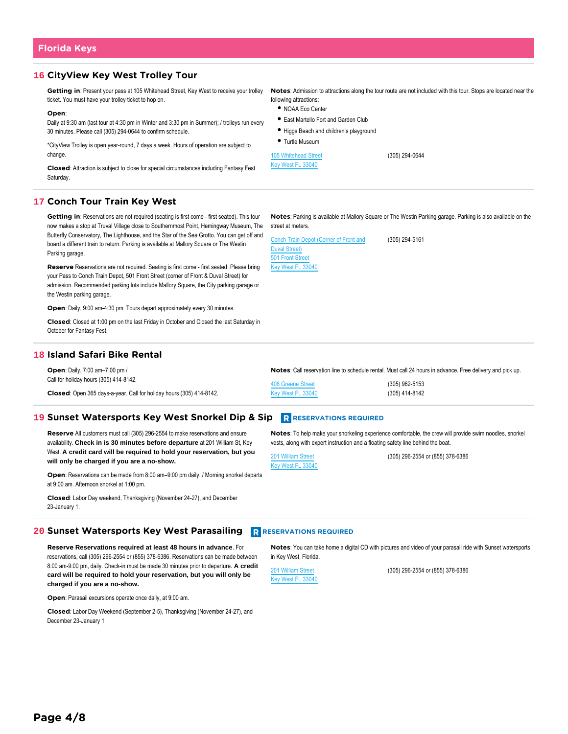# **16 CityView Key West Trolley Tour**

**Getting in**: Present your pass at 105 Whitehead Street, Key West to receive your trolley ticket. You must have your trolley ticket to hop on.

### **Open**:

Daily at 9:30 am (last tour at 4:30 pm in Winter and 3:30 pm in Summer); / trolleys run every 30 minutes. Please call (305) 294-0644 to confirm schedule.

\*CityView Trolley is open year-round, 7 days a week. Hours of operation are subject to change.

**Closed**: Attraction is subject to close for special circumstances including Fantasy Fest Saturday.

following attractions: NOAA Eco Center

**Notes**: Admission to attractions along the tour route are not included with this tour. Stops are located near the

- East Martello Fort and Garden Club
- Higgs Beach and children's playground
- Turtle Museum

[105 Whitehead Street](https://maps.google.com/maps?q=loc:24.5587,-81.80635&z=16) [Key West FL 33040](https://maps.google.com/maps?q=loc:24.5587,-81.80635&z=16)

(305) 294-0644

# **17 Conch Tour Train Key West**

**Getting in:** Reservations are not required (seating is first come - first seated). This tour now makes a stop at Truval Village close to Southernmost Point, Hemingway Museum, The Butterfly Conservatory, The Lighthouse, and the Star of the Sea Grotto. You can get off and board a different train to return. Parking is available at Mallory Square or The Westin Parking garage.

**Reserve** Reservations are not required. Seating is first come - first seated. Please bring your Pass to Conch Train Depot, 501 Front Street (corner of Front & Duval Street) for admission. Recommended parking lots include Mallory Square, the City parking garage or the Westin parking garage.

**Open**: Daily, 9:00 am-4:30 pm. Tours depart approximately every 30 minutes.

**Closed**: Closed at 1:00 pm on the last Friday in October and Closed the last Saturday in October for Fantasy Fest.

# **18 Island Safari Bike Rental**

| <b>Open:</b> Daily, 7:00 am-7:00 pm /                                |                   | Notes: Call reservation line to schedule rental. Must call 24 hours in advance. Free delivery and pick up. |
|----------------------------------------------------------------------|-------------------|------------------------------------------------------------------------------------------------------------|
| Call for holiday hours (305) 414-8142.                               | 408 Greene Street | $(305)$ 962-5153                                                                                           |
| Closed: Open 365 days-a-year. Call for holiday hours (305) 414-8142. | Key West FL 33040 | (305) 414-8142                                                                                             |

# **19 Sunset Watersports Key West Snorkel Dip & Sip RESERVATIONS REQUIRED**

**Reserve** All customers must call (305) 296-2554 to make reservations and ensure availability. **Check in is 30 minutes before departure** at 201 William St, Key West. **A credit card will be required to hold your reservation, but you will only be charged if you are a no-show.**

**Open**: Reservations can be made from 8:00 am–9:00 pm daily. / Morning snorkel departs at 9:00 am. Afternoon snorkel at 1:00 pm.

**Closed**: Labor Day weekend, Thanksgiving (November 24-27), and December 23-January 1.

# **20 Sunset Watersports Key West Parasailing RESERVATIONS REQUIRED**

**Reserve Reservations required at least 48 hours in advance**. For reservations, call (305) 296-2554 or (855) 378-6386. Reservations can be made between 8:00 am-9:00 pm, daily. Check-in must be made 30 minutes prior to departure. **A credit card will be required to hold your reservation, but you will only be charged if you are a no-show.**

**Open**: Parasail excursions operate once daily, at 9:00 am.

**Closed**: Labor Day Weekend (September 2-5), Thanksgiving (November 24-27), and December 23-January 1

**Notes**: Parking is available at Mallory Square or The Westin Parking garage. Parking is also available on the street at meters.

| <b>Conch Train Depot (Corner of Front and</b> |
|-----------------------------------------------|
|                                               |
|                                               |
|                                               |
|                                               |

(305) 294-5161

**Notes**: To help make your snorkeling experience comfortable, the crew will provide swim noodles, snorkel vests, along with expert instruction and a floating safety line behind the boat.

[201 William Street](https://maps.google.com/maps?q=loc:24.561146,-81.80126&z=16) [Key West FL 33040](https://maps.google.com/maps?q=loc:24.561146,-81.80126&z=16) (305) 296-2554 or (855) 378-6386

**Notes**: You can take home a digital CD with pictures and video of your parasail ride with Sunset watersports in Key West, Florida.

[201 William Street](https://maps.google.com/maps?q=loc:24.561146,-81.80126&z=16) [Key West FL 33040](https://maps.google.com/maps?q=loc:24.561146,-81.80126&z=16) (305) 296-2554 or (855) 378-6386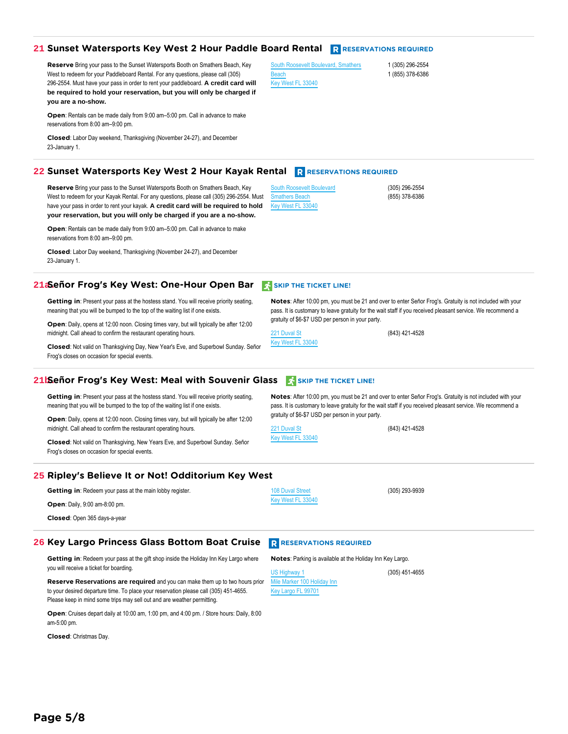# **21 Sunset Watersports Key West 2 Hour Paddle Board Rental Reservations Required**

**Reserve** Bring your pass to the Sunset Watersports Booth on Smathers Beach, Key West to redeem for your Paddleboard Rental. For any questions, please call (305) 296-2554. Must have your pass in order to rent your paddleboard. **A credit card will be required to hold your reservation, but you will only be charged if you are a no-show.**

**Open**: Rentals can be made daily from 9:00 am–5:00 pm. Call in advance to make reservations from 8:00 am–9:00 pm.

**Closed**: Labor Day weekend, Thanksgiving (November 24-27), and December 23-January 1.

# **22 Sunset Watersports Key West 2 Hour Kayak Rental ReSERVATIONS REQUIRED**

**Reserve** Bring your pass to the Sunset Watersports Booth on Smathers Beach, Key West to redeem for your Kayak Rental. For any questions, please call (305) 296-2554. Must have your pass in order to rent your kayak. **A credit card will be required to hold your reservation, but you will only be charged if you are a no-show.**

**Open**: Rentals can be made daily from 9:00 am–5:00 pm. Call in advance to make reservations from 8:00 am–9:00 pm.

**Closed**: Labor Day weekend, Thanksgiving (November 24-27), and December 23-January 1.

# **21a.Señor Frog's Key West: One-Hour Open Bar** SKIP THE TICKET LINE!

**Getting in:** Present your pass at the hostess stand. You will receive priority seating, meaning that you will be bumped to the top of the waiting list if one exists.

**Open**: Daily, opens at 12:00 noon. Closing times vary, but will typically be after 12:00 midnight. Call ahead to confirm the restaurant operating hours.

**Closed**: Not valid on Thanksgiving Day, New Year's Eve, and Superbowl Sunday. Señor Frog's closes on occasion for special events.

# **21b.Señor Frog's Key West: Meal with Souvenir Glass SEN SKIP THE TICKET LINE!**

**Getting in:** Present your pass at the hostess stand. You will receive priority seating, meaning that you will be bumped to the top of the waiting list if one exists.

**Open**: Daily, opens at 12:00 noon. Closing times vary, but will typically be after 12:00 midnight. Call ahead to confirm the restaurant operating hours.

**Closed**: Not valid on Thanksgiving, New Years Eve, and Superbowl Sunday. Señor Frog's closes on occasion for special events.

# **25 Ripley's Believe It or Not! Odditorium Key West**

**Getting in**: Redeem your pass at the main lobby register.

**Open**: Daily, 9:00 am-8:00 pm.

**Closed**: Open 365 days-a-year

# **26 Key Largo Princess Glass Bottom Boat Cruise R** RESERVATIONS REQUIRED

**Getting in:** Redeem your pass at the gift shop inside the Holiday Inn Key Largo where you will receive a ticket for boarding.

**Reserve Reservations are required** and you can make them up to two hours prior to your desired departure time. To place your reservation please call (305) 451-4655. Please keep in mind some trips may sell out and are weather permitting.

**Open**: Cruises depart daily at 10:00 am, 1:00 pm, and 4:00 pm. / Store hours: Daily, 8:00 am-5:00 pm.

**Closed**: Christmas Day.

**Notes**: After 10:00 pm, you must be 21 and over to enter Señor Frog's. Gratuity is not included with your pass. It is customary to leave gratuity for the wait staff if you received pleasant service. We recommend a gratuity of \$6-\$7 USD per person in your party.

**Notes**: After 10:00 pm, you must be 21 and over to enter Señor Frog's. Gratuity is not included with your pass. It is customary to leave gratuity for the wait staff if you received pleasant service. We recommend a

(843) 421-4528

[221 Duval St](https://maps.google.com/maps?q=loc:24.558514,-81.80453&z=16) [Key West FL 33040](https://maps.google.com/maps?q=loc:24.558514,-81.80453&z=16)

gratuity of \$6-\$7 USD per person in your party.

[221 Duval St](https://maps.google.com/maps?q=loc:24.558464,-81.80467&z=16) [Key West FL 33040](https://maps.google.com/maps?q=loc:24.558464,-81.80467&z=16)

(843) 421-4528

(305) 293-9939

**Notes**: Parking is available at the Holiday Inn Key Largo.

(305) 451-4655

[US Highway 1](https://maps.google.com/maps?q=loc:25.086515,-80.44728&z=16) e Marker 100 Holiday Inn [Key Largo FL 99701](https://maps.google.com/maps?q=loc:25.086515,-80.44728&z=16)

[108 Duval Street](https://maps.google.com/maps?q=loc:24.55978,-81.80594&z=16) [Key West FL 33040](https://maps.google.com/maps?q=loc:24.55978,-81.80594&z=16) (305) 296-2554 (855) 378-6386

1 (305) 296-2554 1 (855) 378-6386

[South Roosevelt Boulevard](https://maps.google.com/maps?q=loc:24.551842,-81.7693&z=16) hers Beach [Key West FL 33040](https://maps.google.com/maps?q=loc:24.551842,-81.7693&z=16)

[South Roosevelt Boulevard, Smathers](https://maps.google.com/maps?q=loc:24.551842,-81.7693&z=16)

ach [Key West FL 33040](https://maps.google.com/maps?q=loc:24.551842,-81.7693&z=16)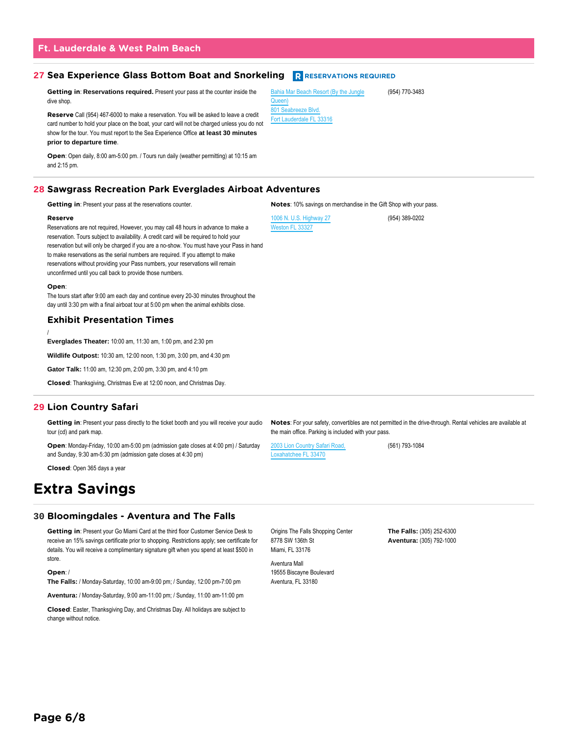# **Ft. Lauderdale & West Palm Beach**

# **27 Sea Experience Glass Bottom Boat and Snorkeling <b>R** RESERVATIONS REQUIRED

**Getting in**: **Reservations required.** Present your pass at the counter inside the dive shop.

**Reserve** Call (954) 467-6000 to make a reservation. You will be asked to leave a credit card number to hold your place on the boat, your card will not be charged unless you do not show for the tour. You must report to the Sea Experience Office **at least 30 minutes prior to departure time**.

**Open**: Open daily, 8:00 am-5:00 pm. / Tours run daily (weather permitting) at 10:15 am and 2:15 pm.

# **28 Sawgrass Recreation Park Everglades Airboat Adventures**

**Getting in**: Present your pass at the reservations counter.

### **Reserve**

Reservations are not required, However, you may call 48 hours in advance to make a reservation. Tours subject to availability. A credit card will be required to hold your reservation but will only be charged if you are a no-show. You must have your Pass in hand to make reservations as the serial numbers are required. If you attempt to make reservations without providing your Pass numbers, your reservations will remain unconfirmed until you call back to provide those numbers.

### **Open**:

The tours start after 9:00 am each day and continue every 20-30 minutes throughout the day until 3:30 pm with a final airboat tour at 5:00 pm when the animal exhibits close.

# **Exhibit Presentation Times**

/ **Everglades Theater:** 10:00 am, 11:30 am, 1:00 pm, and 2:30 pm

**Wildlife Outpost:** 10:30 am, 12:00 noon, 1:30 pm, 3:00 pm, and 4:30 pm

**Gator Talk:** 11:00 am, 12:30 pm, 2:00 pm, 3:30 pm, and 4:10 pm

**Closed**: Thanksgiving, Christmas Eve at 12:00 noon, and Christmas Day.

# **29 Lion Country Safari**

Getting in: Present your pass directly to the ticket booth and you will receive your audio tour (cd) and park map.

**Open**: Monday-Friday, 10:00 am-5:00 pm (admission gate closes at 4:00 pm) / Saturday and Sunday, 9:30 am-5:30 pm (admission gate closes at 4:30 pm)

**Closed**: Open 365 days a year

# **Extra Savings**

# **30 Bloomingdales - Aventura and The Falls**

**Getting in**: Present your Go Miami Card at the third floor Customer Service Desk to receive an 15% savings certificate prior to shopping. Restrictions apply; see certificate for details. You will receive a complimentary signature gift when you spend at least \$500 in store.

# **Open**: /

**The Falls:** / Monday-Saturday, 10:00 am-9:00 pm; / Sunday, 12:00 pm-7:00 pm

**Aventura:** / Monday-Saturday, 9:00 am-11:00 pm; / Sunday, 11:00 am-11:00 pm

**Closed**: Easter, Thanksgiving Day, and Christmas Day. All holidays are subject to change without notice.

Origins The Falls Shopping Center 8778 SW 136th St Miami, FL 33176

Aventura Mall 19555 Biscayne Boulevard Aventura, FL 33180

**Notes**: 10% savings on merchandise in the Gift Shop with your pass.

[1006 N. U.S. Highway 27](https://maps.google.com/maps?q=loc:26.176476,-80.44798&z=16) [Weston FL 33327](https://maps.google.com/maps?q=loc:26.176476,-80.44798&z=16)

(954) 389-0202

**Notes**: For your safety, convertibles are not permitted in the drive-through. Rental vehicles are available at the main office. Parking is included with your pass.

[2003 Lion Country Safari Road,](https://maps.google.com/maps?q=loc:26.708075,-80.32237&z=16) [Loxahatchee FL 33470](https://maps.google.com/maps?q=loc:26.708075,-80.32237&z=16)

(561) 793-1084

**The Falls:** (305) 252-6300 **Aventura:** (305) 792-1000

[Bahia Mar Beach Resort \(By the Jungle](https://maps.google.com/maps?q=loc:26.113356,-80.10559&z=16) [Queen\)](https://maps.google.com/maps?q=loc:26.113356,-80.10559&z=16) [801 Seabreeze Blvd.](https://maps.google.com/maps?q=loc:26.113356,-80.10559&z=16) [Fort Lauderdale FL 33316](https://maps.google.com/maps?q=loc:26.113356,-80.10559&z=16)

(954) 770-3483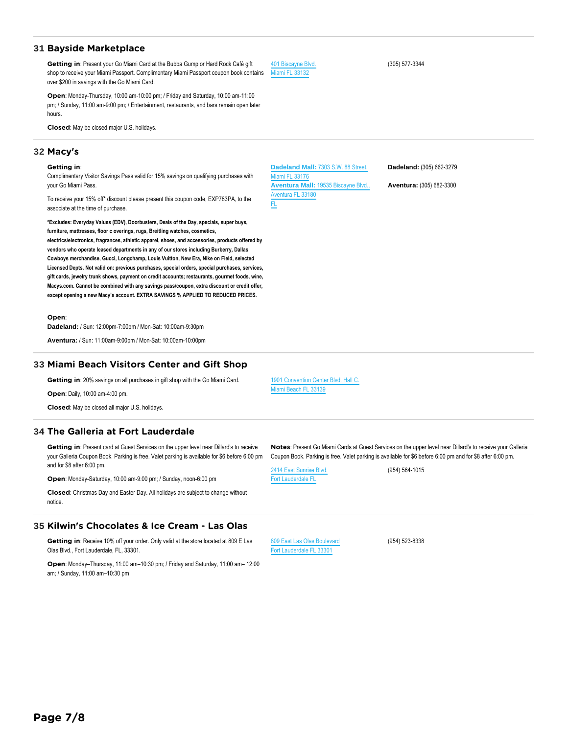# **31 Bayside Marketplace**

**Getting in**: Present your Go Miami Card at the Bubba Gump or Hard Rock Café gift shop to receive your Miami Passport. Complimentary Miami Passport coupon book contains over \$200 in savings with the Go Miami Card.

**Open**: Monday-Thursday, 10:00 am-10:00 pm; / Friday and Saturday, 10:00 am-11:00 pm; / Sunday, 11:00 am-9:00 pm; / Entertainment, restaurants, and bars remain open later hours.

**Closed**: May be closed major U.S. holidays.

# **32 Macy's**

### **Getting in**:

Complimentary Visitor Savings Pass valid for 15% savings on qualifying purchases with your Go Miami Pass.

To receive your 15% off\* discount please present this coupon code, EXP783PA, to the associate at the time of purchase.

**\*Excludes: Everyday Values (EDV), Doorbusters, Deals of the Day, specials, super buys, furniture, mattresses, floor c overings, rugs, Breitling watches, cosmetics,**

**electrics/electronics, fragrances, athletic apparel, shoes, and accessories, products offered by vendors who operate leased departments in any of our stores including Burberry, Dallas Cowboys merchandise, Gucci, Longchamp, Louis Vuitton, New Era, Nike on Field, selected Licensed Depts. Not valid on: previous purchases, special orders, special purchases, services, gift cards, jewelry trunk shows, payment on credit accounts; restaurants, gourmet foods, wine, Macys.com. Cannot be combined with any savings pass/coupon, extra discount or credit offer, except opening a new Macy's account. EXTRA SAVINGS % APPLIED TO REDUCED PRICES.**

**Open**:

**Dadeland:** / Sun: 12:00pm-7:00pm / Mon-Sat: 10:00am-9:30pm

**Aventura:** / Sun: 11:00am-9:00pm / Mon-Sat: 10:00am-10:00pm

# **33 Miami Beach Visitors Center and Gift Shop**

**Getting in**: 20% savings on all purchases in gift shop with the Go Miami Card.

**Open**: Daily, 10:00 am-4:00 pm.

**Closed**: May be closed all major U.S. holidays.

# **34 The Galleria at Fort Lauderdale**

**Getting in**: Present card at Guest Services on the upper level near Dillard's to receive your Galleria Coupon Book. Parking is free. Valet parking is available for \$6 before 6:00 pm and for \$8 after 6:00 pm.

**Open**: Monday-Saturday, 10:00 am-9:00 pm; / Sunday, noon-6:00 pm

**Closed**: Christmas Day and Easter Day. All holidays are subject to change without notice.

# **35 Kilwin's Chocolates & Ice Cream - Las Olas**

**Getting in**: Receive 10% off your order. Only valid at the store located at 809 E Las Olas Blvd., Fort Lauderdale, FL, 33301.

**Open**: Monday–Thursday, 11:00 am–10:30 pm; / Friday and Saturday, 11:00 am– 12:00 am; / Sunday, 11:00 am–10:30 pm

**Dadeland Mall:** [7303 S.W. 88 Street,](https://maps.google.com/maps?q=loc:,&z=16) [Miami FL 33176](https://maps.google.com/maps?q=loc:,&z=16) **Aventura Mall:** [19535 Biscayne Blvd.,](https://maps.google.com/maps?q=loc:,&z=16) ra FL 33180 [FL](https://maps.google.com/maps?q=loc:,&z=16)

[401 Biscayne Blvd.](https://maps.google.com/maps?q=loc:25.777355,-80.18557&z=16) [Miami FL 33132](https://maps.google.com/maps?q=loc:25.777355,-80.18557&z=16)

**Dadeland:** (305) 662-3279

**Aventura:** (305) 682-3300

**Notes**: Present Go Miami Cards at Guest Services on the upper level near Dillard's to receive your Galleria Coupon Book. Parking is free. Valet parking is available for \$6 before 6:00 pm and for \$8 after 6:00 pm.

[2414 East Sunrise Blvd.](https://maps.google.com/maps?q=loc:26.137129,-80.113434&z=16) [Fort Lauderdale FL](https://maps.google.com/maps?q=loc:26.137129,-80.113434&z=16)

(954) 564-1015

(954) 523-8338

[809 East Las Olas Boulevard](https://maps.google.com/maps?q=loc:26.11944,-80.135155&z=16) [Fort Lauderdale FL 33301](https://maps.google.com/maps?q=loc:26.11944,-80.135155&z=16)

(305) 577-3344

[1901 Convention Center Blvd. Hall C.](https://maps.google.com/maps?q=loc:25.794992,-80.133484&z=16)

[Miami Beach FL 33139](https://maps.google.com/maps?q=loc:25.794992,-80.133484&z=16)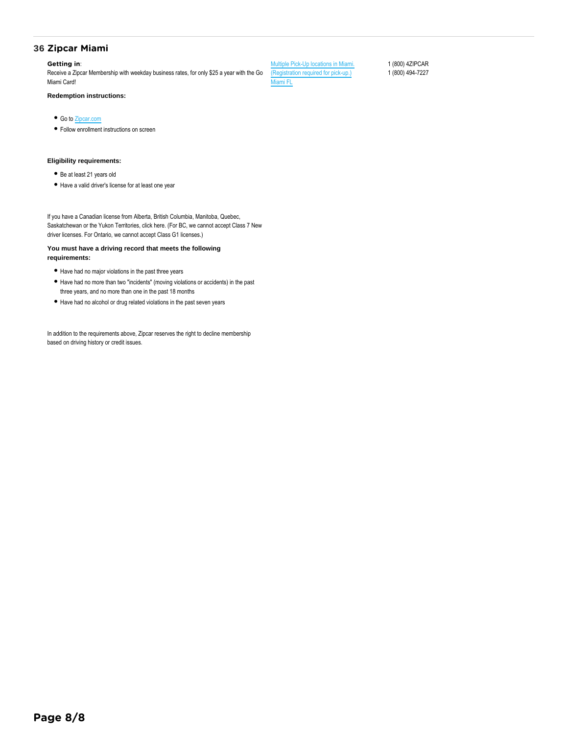# **36 Zipcar Miami**

# **Getting in**:

Receive a Zipcar Membership with weekday business rates, for only \$25 a year with the Go Miami Card!

**Redemption instructions:**

- Go to [Zipcar.com](https://members.zipcar.com/registration/account/user?affiliate_id=1566603037&gift_code=#step)
- Follow enrollment instructions on screen

# **Eligibility requirements:**

- Be at least 21 years old
- Have a valid driver's license for at least one year

If you have a Canadian license from Alberta, British Columbia, Manitoba, Quebec, Saskatchewan or the Yukon Territories, click here. (For BC, we cannot accept Class 7 New driver licenses. For Ontario, we cannot accept Class G1 licenses.)

# **You must have a driving record that meets the following requirements:**

- Have had no major violations in the past three years
- Have had no more than two "incidents" (moving violations or accidents) in the past three years, and no more than one in the past 18 months
- Have had no alcohol or drug related violations in the past seven years

In addition to the requirements above, Zipcar reserves the right to decline membership based on driving history or credit issues.

[Multiple Pick-Up locations in Miami.](https://maps.google.com/maps?q=loc:25.76168,-80.19179&z=16) [\(Registration required for pick-up.\)](https://maps.google.com/maps?q=loc:25.76168,-80.19179&z=16) [Miami FL](https://maps.google.com/maps?q=loc:25.76168,-80.19179&z=16)

1 (800) 4ZIPCAR 1 (800) 494-7227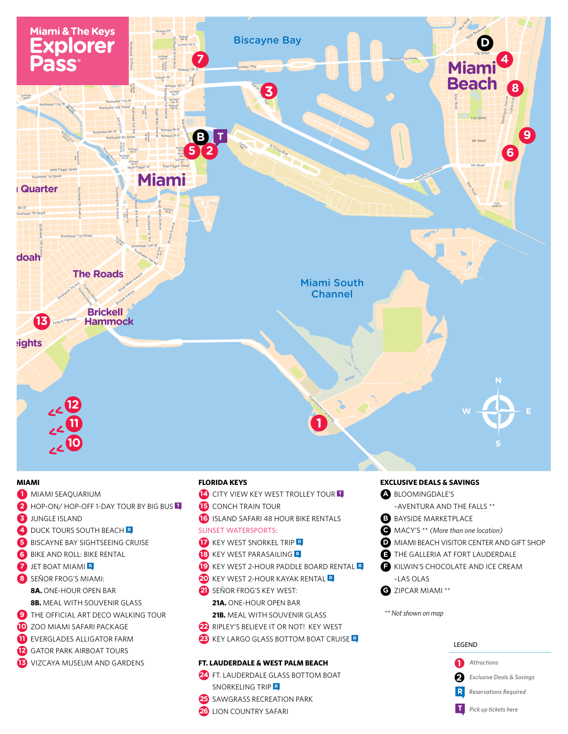

# **MIAMI**

- MIAMI SEAQUARIUM
- HOP-ON/HOP-OFF 1-DAY TOUR BY BIG BUS
- **3** JUNGLE ISLAND
- 4 DUCK TOURS SOUTH BEACH R
- **BISCAYNE BAY SIGHTSEEING CRUISE**
- **6** BIKE AND ROLL: BIKE RENTAL
- **D** JET BOAT MIAMI
- **B** SEÑOR FROG'S MIAMI:
	- **8A.** ONE-HOUR OPEN BAR
	- **8B.** MEAL WITH SOUVENIR GLASS
- **E** THE OFFICIAL ART DECO WALKING TOUR
- 10 ZOO MIAMI SAFARI PACKAGE
- EVERGLADES ALLIGATOR FARM
- **2** GATOR PARK AIRBOAT TOURS
- **B** VIZCAYA MUSEUM AND GARDENS

# **FLORIDA KEYS**

- CITY VIEW KEY WEST TROLLEY TOUR
- **B** CONCH TRAIN TOUR
- **6** ISLAND SAFARI 48 HOUR BIKE RENTALS

# **SUNSET WATERSPORTS:**

- **T** KEY WEST SNORKEL TRIP R
- **18** KEY WEST PARASAILING R
- E KEY WEST 2-HOUR PADDLE BOARD RENTAL R
- 20 KEY WEST 2-HOUR KAYAK RENTAL R
- **20** SEÑOR FROG'S KEY WEST:
	- 21A. ONE-HOUR OPEN BAR
- 21B. MEAL WITH SOUVENIR GLASS
- RIPLEY'S BELIEVE IT OR NOT! KEY WEST
- 23 KEY LARGO GLASS BOTTOM BOAT CRUISE R

# FT. LAUDERDALE & WEST PALM BEACH

25 SAWGRASS RECREATION PARK

24 FT. LAUDERDALE GLASS BOTTOM BOAT SNORKELING TRIP R

# **EXCLUSIVE DEALS & SAVINGS**

- BLOOMINGDALE'S -AVENTURA AND THE FALLS \*\*
- **B** BAYSIDE MARKETPLACE
- MACY'S \*\* (More than one location)
- MIAMI BEACH VISITOR CENTER AND GIFT SHOP
- THE GALLERIA AT FORT LAUDERDALE
- KILWIN'S CHOCOLATE AND ICE CREAM -LAS OLAS
- **B** ZIPCAR MIAMI \*\*

\*\* Not shown on map



**23 LION COUNTRY SAFARI**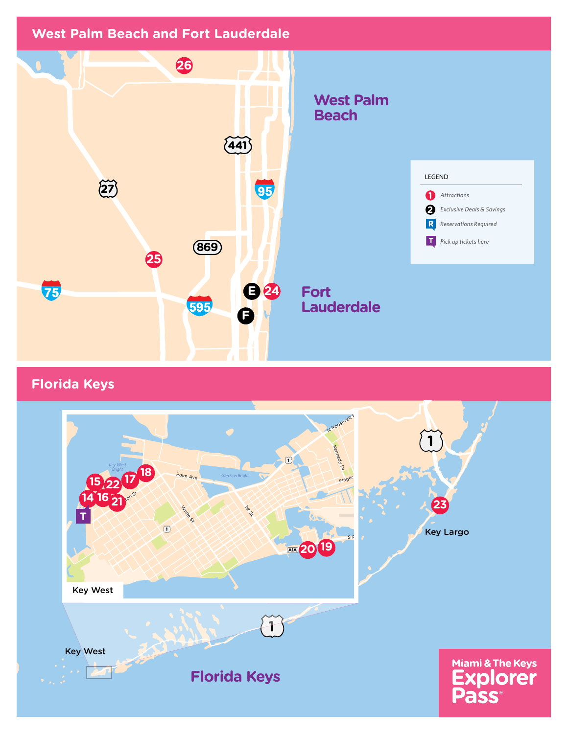

**Florida Keys**